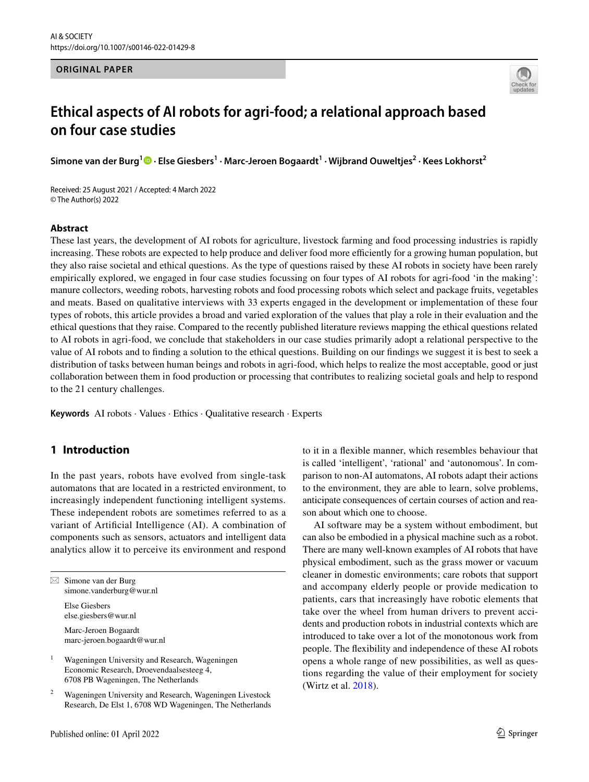#### **ORIGINAL PAPER**



# **Ethical aspects of AI robots for agri‑food; a relational approach based on four case studies**

**Simone van der Burg<sup>1</sup> · Else Giesbers1 · Marc‑Jeroen Bogaardt1 · Wijbrand Ouweltjes2 · Kees Lokhorst2**

Received: 25 August 2021 / Accepted: 4 March 2022 © The Author(s) 2022

#### **Abstract**

These last years, the development of AI robots for agriculture, livestock farming and food processing industries is rapidly increasing. These robots are expected to help produce and deliver food more efficiently for a growing human population, but they also raise societal and ethical questions. As the type of questions raised by these AI robots in society have been rarely empirically explored, we engaged in four case studies focussing on four types of AI robots for agri-food 'in the making': manure collectors, weeding robots, harvesting robots and food processing robots which select and package fruits, vegetables and meats. Based on qualitative interviews with 33 experts engaged in the development or implementation of these four types of robots, this article provides a broad and varied exploration of the values that play a role in their evaluation and the ethical questions that they raise. Compared to the recently published literature reviews mapping the ethical questions related to AI robots in agri-food, we conclude that stakeholders in our case studies primarily adopt a relational perspective to the value of AI robots and to fnding a solution to the ethical questions. Building on our fndings we suggest it is best to seek a distribution of tasks between human beings and robots in agri-food, which helps to realize the most acceptable, good or just collaboration between them in food production or processing that contributes to realizing societal goals and help to respond to the 21 century challenges.

**Keywords** AI robots · Values · Ethics · Qualitative research · Experts

# **1 Introduction**

In the past years, robots have evolved from single-task automatons that are located in a restricted environment, to increasingly independent functioning intelligent systems. These independent robots are sometimes referred to as a variant of Artifcial Intelligence (AI). A combination of components such as sensors, actuators and intelligent data analytics allow it to perceive its environment and respond

 $\boxtimes$  Simone van der Burg simone.vanderburg@wur.nl

Else Giesbers else.giesbers@wur.nl

Marc-Jeroen Bogaardt marc-jeroen.bogaardt@wur.nl

<sup>1</sup> Wageningen University and Research, Wageningen Economic Research, Droevendaalsesteeg 4, 6708 PB Wageningen, The Netherlands

<sup>2</sup> Wageningen University and Research, Wageningen Livestock Research, De Elst 1, 6708 WD Wageningen, The Netherlands to it in a fexible manner, which resembles behaviour that is called 'intelligent', 'rational' and 'autonomous'. In comparison to non-AI automatons, AI robots adapt their actions to the environment, they are able to learn, solve problems, anticipate consequences of certain courses of action and reason about which one to choose.

AI software may be a system without embodiment, but can also be embodied in a physical machine such as a robot. There are many well-known examples of AI robots that have physical embodiment, such as the grass mower or vacuum cleaner in domestic environments; care robots that support and accompany elderly people or provide medication to patients, cars that increasingly have robotic elements that take over the wheel from human drivers to prevent accidents and production robots in industrial contexts which are introduced to take over a lot of the monotonous work from people. The fexibility and independence of these AI robots opens a whole range of new possibilities, as well as questions regarding the value of their employment for society (Wirtz et al. [2018](#page-14-0)).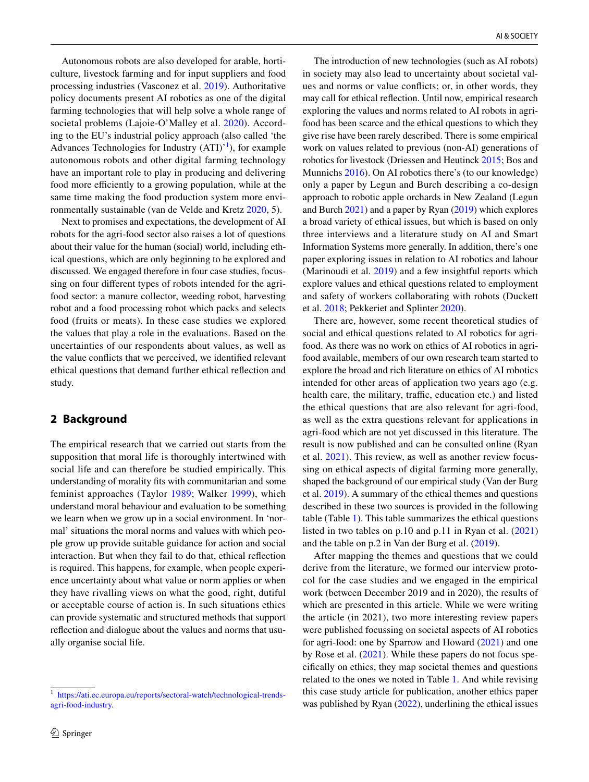Autonomous robots are also developed for arable, horticulture, livestock farming and for input suppliers and food processing industries (Vasconez et al. [2019\)](#page-14-1). Authoritative policy documents present AI robotics as one of the digital farming technologies that will help solve a whole range of societal problems (Lajoie-O'Malley et al. [2020\)](#page-14-2). According to the EU's industrial policy approach (also called 'the Advances Technologies for Industry  $(ATI)^{1}$ , for example autonomous robots and other digital farming technology have an important role to play in producing and delivering food more efficiently to a growing population, while at the same time making the food production system more environmentally sustainable (van de Velde and Kretz [2020,](#page-14-3) 5).

Next to promises and expectations, the development of AI robots for the agri-food sector also raises a lot of questions about their value for the human (social) world, including ethical questions, which are only beginning to be explored and discussed. We engaged therefore in four case studies, focussing on four diferent types of robots intended for the agrifood sector: a manure collector, weeding robot, harvesting robot and a food processing robot which packs and selects food (fruits or meats). In these case studies we explored the values that play a role in the evaluations. Based on the uncertainties of our respondents about values, as well as the value conficts that we perceived, we identifed relevant ethical questions that demand further ethical refection and study.

### <span id="page-1-1"></span>**2 Background**

The empirical research that we carried out starts from the supposition that moral life is thoroughly intertwined with social life and can therefore be studied empirically. This understanding of morality fts with communitarian and some feminist approaches (Taylor [1989;](#page-14-4) Walker [1999](#page-14-5)), which understand moral behaviour and evaluation to be something we learn when we grow up in a social environment. In 'normal' situations the moral norms and values with which people grow up provide suitable guidance for action and social interaction. But when they fail to do that, ethical refection is required. This happens, for example, when people experience uncertainty about what value or norm applies or when they have rivalling views on what the good, right, dutiful or acceptable course of action is. In such situations ethics can provide systematic and structured methods that support refection and dialogue about the values and norms that usually organise social life.

The introduction of new technologies (such as AI robots) in society may also lead to uncertainty about societal values and norms or value conficts; or, in other words, they may call for ethical refection. Until now, empirical research exploring the values and norms related to AI robots in agrifood has been scarce and the ethical questions to which they give rise have been rarely described. There is some empirical work on values related to previous (non-AI) generations of robotics for livestock (Driessen and Heutinck [2015](#page-14-6); Bos and Munnichs [2016\)](#page-13-0). On AI robotics there's (to our knowledge) only a paper by Legun and Burch describing a co-design approach to robotic apple orchards in New Zealand (Legun and Burch [2021\)](#page-14-7) and a paper by Ryan [\(2019](#page-14-8)) which explores a broad variety of ethical issues, but which is based on only three interviews and a literature study on AI and Smart Information Systems more generally. In addition, there's one paper exploring issues in relation to AI robotics and labour (Marinoudi et al. [2019](#page-14-1)) and a few insightful reports which explore values and ethical questions related to employment and safety of workers collaborating with robots (Duckett et al. [2018](#page-14-9); Pekkeriet and Splinter [2020\)](#page-14-10).

There are, however, some recent theoretical studies of social and ethical questions related to AI robotics for agrifood. As there was no work on ethics of AI robotics in agrifood available, members of our own research team started to explore the broad and rich literature on ethics of AI robotics intended for other areas of application two years ago (e.g. health care, the military, traffic, education etc.) and listed the ethical questions that are also relevant for agri-food, as well as the extra questions relevant for applications in agri-food which are not yet discussed in this literature. The result is now published and can be consulted online (Ryan et al. [2021\)](#page-14-11). This review, as well as another review focussing on ethical aspects of digital farming more generally, shaped the background of our empirical study (Van der Burg et al. [2019\)](#page-14-12). A summary of the ethical themes and questions described in these two sources is provided in the following table (Table [1](#page-2-0)). This table summarizes the ethical questions listed in two tables on p.10 and p.11 in Ryan et al. [\(2021](#page-14-11)) and the table on p.2 in Van der Burg et al. ([2019\)](#page-14-12).

After mapping the themes and questions that we could derive from the literature, we formed our interview protocol for the case studies and we engaged in the empirical work (between December 2019 and in 2020), the results of which are presented in this article. While we were writing the article (in 2021), two more interesting review papers were published focussing on societal aspects of AI robotics for agri-food: one by Sparrow and Howard [\(2021](#page-14-13)) and one by Rose et al. ([2021](#page-14-14)). While these papers do not focus specifcally on ethics, they map societal themes and questions related to the ones we noted in Table [1](#page-2-0). And while revising this case study article for publication, another ethics paper was published by Ryan [\(2022](#page-14-15)), underlining the ethical issues

<span id="page-1-0"></span><sup>1</sup> [https://ati.ec.europa.eu/reports/sectoral-watch/technological-trends](https://ati.ec.europa.eu/reports/sectoral-watch/technological-trends-agri-food-industry)[agri-food-industry.](https://ati.ec.europa.eu/reports/sectoral-watch/technological-trends-agri-food-industry)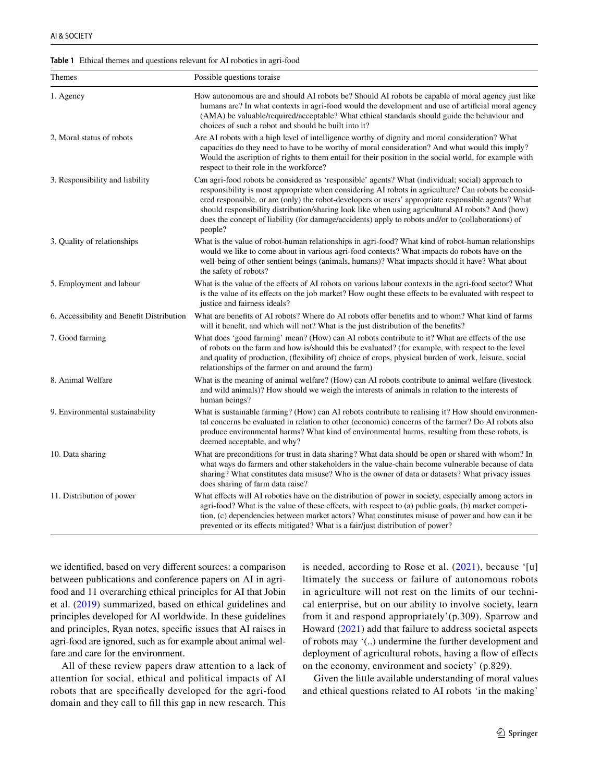| Themes                                    | Possible questions toraise                                                                                                                                                                                                                                                                                                                                                                                                                                                                                                            |
|-------------------------------------------|---------------------------------------------------------------------------------------------------------------------------------------------------------------------------------------------------------------------------------------------------------------------------------------------------------------------------------------------------------------------------------------------------------------------------------------------------------------------------------------------------------------------------------------|
| 1. Agency                                 | How autonomous are and should AI robots be? Should AI robots be capable of moral agency just like<br>humans are? In what contexts in agri-food would the development and use of artificial moral agency<br>(AMA) be valuable/required/acceptable? What ethical standards should guide the behaviour and<br>choices of such a robot and should be built into it?                                                                                                                                                                       |
| 2. Moral status of robots                 | Are AI robots with a high level of intelligence worthy of dignity and moral consideration? What<br>capacities do they need to have to be worthy of moral consideration? And what would this imply?<br>Would the ascription of rights to them entail for their position in the social world, for example with<br>respect to their role in the workforce?                                                                                                                                                                               |
| 3. Responsibility and liability           | Can agri-food robots be considered as 'responsible' agents? What (individual; social) approach to<br>responsibility is most appropriate when considering AI robots in agriculture? Can robots be consid-<br>ered responsible, or are (only) the robot-developers or users' appropriate responsible agents? What<br>should responsibility distribution/sharing look like when using agricultural AI robots? And (how)<br>does the concept of liability (for damage/accidents) apply to robots and/or to (collaborations) of<br>people? |
| 3. Quality of relationships               | What is the value of robot-human relationships in agri-food? What kind of robot-human relationships<br>would we like to come about in various agri-food contexts? What impacts do robots have on the<br>well-being of other sentient beings (animals, humans)? What impacts should it have? What about<br>the safety of robots?                                                                                                                                                                                                       |
| 5. Employment and labour                  | What is the value of the effects of AI robots on various labour contexts in the agri-food sector? What<br>is the value of its effects on the job market? How ought these effects to be evaluated with respect to<br>justice and fairness ideals?                                                                                                                                                                                                                                                                                      |
| 6. Accessibility and Benefit Distribution | What are benefits of AI robots? Where do AI robots offer benefits and to whom? What kind of farms<br>will it benefit, and which will not? What is the just distribution of the benefits?                                                                                                                                                                                                                                                                                                                                              |
| 7. Good farming                           | What does 'good farming' mean? (How) can AI robots contribute to it? What are effects of the use<br>of robots on the farm and how is/should this be evaluated? (for example, with respect to the level<br>and quality of production, (flexibility of) choice of crops, physical burden of work, leisure, social<br>relationships of the farmer on and around the farm)                                                                                                                                                                |
| 8. Animal Welfare                         | What is the meaning of animal welfare? (How) can AI robots contribute to animal welfare (livestock<br>and wild animals)? How should we weigh the interests of animals in relation to the interests of<br>human beings?                                                                                                                                                                                                                                                                                                                |
| 9. Environmental sustainability           | What is sustainable farming? (How) can AI robots contribute to realising it? How should environmen-<br>tal concerns be evaluated in relation to other (economic) concerns of the farmer? Do AI robots also<br>produce environmental harms? What kind of environmental harms, resulting from these robots, is<br>deemed acceptable, and why?                                                                                                                                                                                           |
| 10. Data sharing                          | What are preconditions for trust in data sharing? What data should be open or shared with whom? In<br>what ways do farmers and other stakeholders in the value-chain become vulnerable because of data<br>sharing? What constitutes data misuse? Who is the owner of data or datasets? What privacy issues<br>does sharing of farm data raise?                                                                                                                                                                                        |
| 11. Distribution of power                 | What effects will AI robotics have on the distribution of power in society, especially among actors in<br>agri-food? What is the value of these effects, with respect to (a) public goals, (b) market competi-<br>tion, (c) dependencies between market actors? What constitutes misuse of power and how can it be<br>prevented or its effects mitigated? What is a fair/just distribution of power?                                                                                                                                  |

<span id="page-2-0"></span>**Table 1** Ethical themes and questions relevant for AI robotics in agri-food

we identifed, based on very diferent sources: a comparison between publications and conference papers on AI in agrifood and 11 overarching ethical principles for AI that Jobin et al. ([2019](#page-14-16)) summarized, based on ethical guidelines and principles developed for AI worldwide. In these guidelines and principles, Ryan notes, specifc issues that AI raises in agri-food are ignored, such as for example about animal welfare and care for the environment.

All of these review papers draw attention to a lack of attention for social, ethical and political impacts of AI robots that are specifcally developed for the agri-food domain and they call to fll this gap in new research. This

is needed, according to Rose et al.  $(2021)$  $(2021)$  $(2021)$ , because '[u] ltimately the success or failure of autonomous robots in agriculture will not rest on the limits of our technical enterprise, but on our ability to involve society, learn from it and respond appropriately'(p.309). Sparrow and Howard ([2021](#page-14-13)) add that failure to address societal aspects of robots may '(..) undermine the further development and deployment of agricultural robots, having a flow of effects on the economy, environment and society' (p.829).

Given the little available understanding of moral values and ethical questions related to AI robots 'in the making'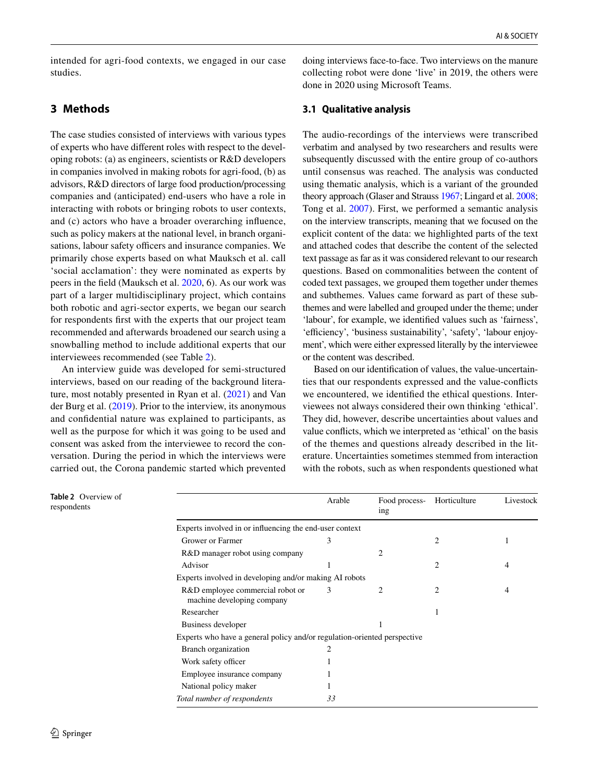intended for agri-food contexts, we engaged in our case studies.

# **3 Methods**

The case studies consisted of interviews with various types of experts who have diferent roles with respect to the developing robots: (a) as engineers, scientists or R&D developers in companies involved in making robots for agri-food, (b) as advisors, R&D directors of large food production/processing companies and (anticipated) end-users who have a role in interacting with robots or bringing robots to user contexts, and (c) actors who have a broader overarching infuence, such as policy makers at the national level, in branch organisations, labour safety officers and insurance companies. We primarily chose experts based on what Mauksch et al. call 'social acclamation': they were nominated as experts by peers in the feld (Mauksch et al. [2020,](#page-14-17) 6). As our work was part of a larger multidisciplinary project, which contains both robotic and agri-sector experts, we began our search for respondents frst with the experts that our project team recommended and afterwards broadened our search using a snowballing method to include additional experts that our interviewees recommended (see Table [2\)](#page-3-0).

An interview guide was developed for semi-structured interviews, based on our reading of the background literature, most notably presented in Ryan et al. [\(2021\)](#page-14-11) and Van der Burg et al. [\(2019](#page-14-12)). Prior to the interview, its anonymous and confdential nature was explained to participants, as well as the purpose for which it was going to be used and consent was asked from the interviewee to record the conversation. During the period in which the interviews were carried out, the Corona pandemic started which prevented

doing interviews face-to-face. Two interviews on the manure collecting robot were done 'live' in 2019, the others were done in 2020 using Microsoft Teams.

### **3.1 Qualitative analysis**

The audio-recordings of the interviews were transcribed verbatim and analysed by two researchers and results were subsequently discussed with the entire group of co-authors until consensus was reached. The analysis was conducted using thematic analysis, which is a variant of the grounded theory approach (Glaser and Strauss [1967](#page-14-18); Lingard et al. [2008](#page-14-19); Tong et al. [2007](#page-14-20)). First, we performed a semantic analysis on the interview transcripts, meaning that we focused on the explicit content of the data: we highlighted parts of the text and attached codes that describe the content of the selected text passage as far as it was considered relevant to our research questions. Based on commonalities between the content of coded text passages, we grouped them together under themes and subthemes. Values came forward as part of these subthemes and were labelled and grouped under the theme; under 'labour', for example, we identifed values such as 'fairness', 'efficiency', 'business sustainability', 'safety', 'labour enjoyment', which were either expressed literally by the interviewee or the content was described.

Based on our identifcation of values, the value-uncertainties that our respondents expressed and the value-conficts we encountered, we identifed the ethical questions. Interviewees not always considered their own thinking 'ethical'. They did, however, describe uncertainties about values and value conficts, which we interpreted as 'ethical' on the basis of the themes and questions already described in the literature. Uncertainties sometimes stemmed from interaction with the robots, such as when respondents questioned what

<span id="page-3-0"></span>**Table 2** Overview of respondents

|                                                                          | Arable | Food process-<br>ing | Horticulture | Livestock |
|--------------------------------------------------------------------------|--------|----------------------|--------------|-----------|
| Experts involved in or influencing the end-user context                  |        |                      |              |           |
| Grower or Farmer                                                         | 3      |                      | 2            | 1         |
| R&D manager robot using company                                          |        | 2                    |              |           |
| Advisor                                                                  |        |                      | 2            | 4         |
| Experts involved in developing and/or making AI robots                   |        |                      |              |           |
| R&D employee commercial robot or<br>machine developing company           | 3      | 2                    | 2            | 4         |
| Researcher                                                               |        |                      |              |           |
| Business developer                                                       |        | 1                    |              |           |
| Experts who have a general policy and/or regulation-oriented perspective |        |                      |              |           |
| Branch organization                                                      | 2      |                      |              |           |
| Work safety officer                                                      |        |                      |              |           |
| Employee insurance company                                               |        |                      |              |           |
| National policy maker                                                    |        |                      |              |           |
| Total number of respondents                                              | 33     |                      |              |           |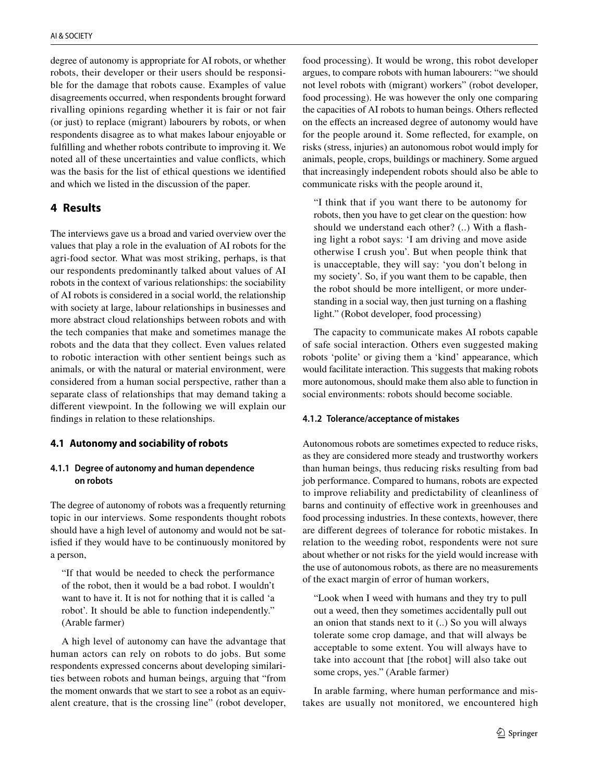degree of autonomy is appropriate for AI robots, or whether robots, their developer or their users should be responsible for the damage that robots cause. Examples of value disagreements occurred, when respondents brought forward rivalling opinions regarding whether it is fair or not fair (or just) to replace (migrant) labourers by robots, or when respondents disagree as to what makes labour enjoyable or fulflling and whether robots contribute to improving it. We noted all of these uncertainties and value conficts, which was the basis for the list of ethical questions we identifed and which we listed in the discussion of the paper.

# **4 Results**

The interviews gave us a broad and varied overview over the values that play a role in the evaluation of AI robots for the agri-food sector. What was most striking, perhaps, is that our respondents predominantly talked about values of AI robots in the context of various relationships: the sociability of AI robots is considered in a social world, the relationship with society at large, labour relationships in businesses and more abstract cloud relationships between robots and with the tech companies that make and sometimes manage the robots and the data that they collect. Even values related to robotic interaction with other sentient beings such as animals, or with the natural or material environment, were considered from a human social perspective, rather than a separate class of relationships that may demand taking a diferent viewpoint. In the following we will explain our fndings in relation to these relationships.

# **4.1 Autonomy and sociability of robots**

### **4.1.1 Degree of autonomy and human dependence on robots**

The degree of autonomy of robots was a frequently returning topic in our interviews. Some respondents thought robots should have a high level of autonomy and would not be satisfed if they would have to be continuously monitored by a person,

"If that would be needed to check the performance of the robot, then it would be a bad robot. I wouldn't want to have it. It is not for nothing that it is called 'a robot'. It should be able to function independently." (Arable farmer)

A high level of autonomy can have the advantage that human actors can rely on robots to do jobs. But some respondents expressed concerns about developing similarities between robots and human beings, arguing that "from the moment onwards that we start to see a robot as an equivalent creature, that is the crossing line" (robot developer, food processing). It would be wrong, this robot developer argues, to compare robots with human labourers: "we should not level robots with (migrant) workers" (robot developer, food processing). He was however the only one comparing the capacities of AI robots to human beings. Others refected on the efects an increased degree of autonomy would have for the people around it. Some refected, for example, on risks (stress, injuries) an autonomous robot would imply for animals, people, crops, buildings or machinery. Some argued that increasingly independent robots should also be able to communicate risks with the people around it,

"I think that if you want there to be autonomy for robots, then you have to get clear on the question: how should we understand each other? (..) With a fashing light a robot says: 'I am driving and move aside otherwise I crush you'. But when people think that is unacceptable, they will say: 'you don't belong in my society'. So, if you want them to be capable, then the robot should be more intelligent, or more understanding in a social way, then just turning on a fashing light." (Robot developer, food processing)

The capacity to communicate makes AI robots capable of safe social interaction. Others even suggested making robots 'polite' or giving them a 'kind' appearance, which would facilitate interaction. This suggests that making robots more autonomous, should make them also able to function in social environments: robots should become sociable.

### **4.1.2 Tolerance/acceptance of mistakes**

Autonomous robots are sometimes expected to reduce risks, as they are considered more steady and trustworthy workers than human beings, thus reducing risks resulting from bad job performance. Compared to humans, robots are expected to improve reliability and predictability of cleanliness of barns and continuity of efective work in greenhouses and food processing industries. In these contexts, however, there are diferent degrees of tolerance for robotic mistakes. In relation to the weeding robot, respondents were not sure about whether or not risks for the yield would increase with the use of autonomous robots, as there are no measurements of the exact margin of error of human workers,

"Look when I weed with humans and they try to pull out a weed, then they sometimes accidentally pull out an onion that stands next to it (..) So you will always tolerate some crop damage, and that will always be acceptable to some extent. You will always have to take into account that [the robot] will also take out some crops, yes." (Arable farmer)

In arable farming, where human performance and mistakes are usually not monitored, we encountered high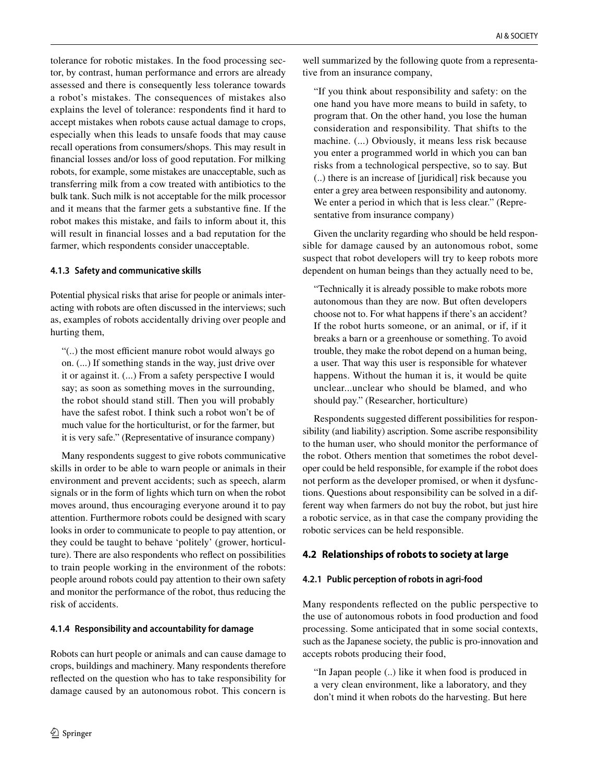tolerance for robotic mistakes. In the food processing sector, by contrast, human performance and errors are already assessed and there is consequently less tolerance towards a robot's mistakes. The consequences of mistakes also explains the level of tolerance: respondents fnd it hard to accept mistakes when robots cause actual damage to crops, especially when this leads to unsafe foods that may cause recall operations from consumers/shops. This may result in fnancial losses and/or loss of good reputation. For milking robots, for example, some mistakes are unacceptable, such as transferring milk from a cow treated with antibiotics to the bulk tank. Such milk is not acceptable for the milk processor and it means that the farmer gets a substantive fne. If the robot makes this mistake, and fails to inform about it, this will result in fnancial losses and a bad reputation for the farmer, which respondents consider unacceptable.

### **4.1.3 Safety and communicative skills**

Potential physical risks that arise for people or animals interacting with robots are often discussed in the interviews; such as, examples of robots accidentally driving over people and hurting them,

"(..) the most efficient manure robot would always go on. (...) If something stands in the way, just drive over it or against it. (...) From a safety perspective I would say; as soon as something moves in the surrounding, the robot should stand still. Then you will probably have the safest robot. I think such a robot won't be of much value for the horticulturist, or for the farmer, but it is very safe." (Representative of insurance company)

Many respondents suggest to give robots communicative skills in order to be able to warn people or animals in their environment and prevent accidents; such as speech, alarm signals or in the form of lights which turn on when the robot moves around, thus encouraging everyone around it to pay attention. Furthermore robots could be designed with scary looks in order to communicate to people to pay attention, or they could be taught to behave 'politely' (grower, horticulture). There are also respondents who refect on possibilities to train people working in the environment of the robots: people around robots could pay attention to their own safety and monitor the performance of the robot, thus reducing the risk of accidents.

# **4.1.4 Responsibility and accountability for damage**

Robots can hurt people or animals and can cause damage to crops, buildings and machinery. Many respondents therefore refected on the question who has to take responsibility for damage caused by an autonomous robot. This concern is

well summarized by the following quote from a representative from an insurance company,

"If you think about responsibility and safety: on the one hand you have more means to build in safety, to program that. On the other hand, you lose the human consideration and responsibility. That shifts to the machine. (...) Obviously, it means less risk because you enter a programmed world in which you can ban risks from a technological perspective, so to say. But (..) there is an increase of [juridical] risk because you enter a grey area between responsibility and autonomy. We enter a period in which that is less clear." (Representative from insurance company)

Given the unclarity regarding who should be held responsible for damage caused by an autonomous robot, some suspect that robot developers will try to keep robots more dependent on human beings than they actually need to be,

"Technically it is already possible to make robots more autonomous than they are now. But often developers choose not to. For what happens if there's an accident? If the robot hurts someone, or an animal, or if, if it breaks a barn or a greenhouse or something. To avoid trouble, they make the robot depend on a human being, a user. That way this user is responsible for whatever happens. Without the human it is, it would be quite unclear...unclear who should be blamed, and who should pay." (Researcher, horticulture)

Respondents suggested diferent possibilities for responsibility (and liability) ascription. Some ascribe responsibility to the human user, who should monitor the performance of the robot. Others mention that sometimes the robot developer could be held responsible, for example if the robot does not perform as the developer promised, or when it dysfunctions. Questions about responsibility can be solved in a different way when farmers do not buy the robot, but just hire a robotic service, as in that case the company providing the robotic services can be held responsible.

# **4.2 Relationships of robots to society at large**

# **4.2.1 Public perception of robots in agri‑food**

Many respondents refected on the public perspective to the use of autonomous robots in food production and food processing. Some anticipated that in some social contexts, such as the Japanese society, the public is pro-innovation and accepts robots producing their food,

"In Japan people (..) like it when food is produced in a very clean environment, like a laboratory, and they don't mind it when robots do the harvesting. But here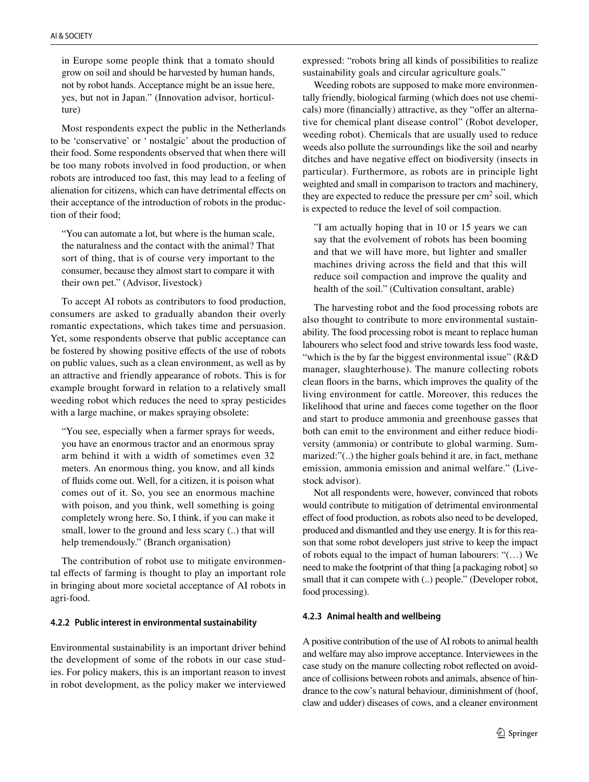in Europe some people think that a tomato should grow on soil and should be harvested by human hands, not by robot hands. Acceptance might be an issue here, yes, but not in Japan." (Innovation advisor, horticulture)

Most respondents expect the public in the Netherlands to be 'conservative' or ' nostalgic' about the production of their food. Some respondents observed that when there will be too many robots involved in food production, or when robots are introduced too fast, this may lead to a feeling of alienation for citizens, which can have detrimental efects on their acceptance of the introduction of robots in the production of their food;

"You can automate a lot, but where is the human scale, the naturalness and the contact with the animal? That sort of thing, that is of course very important to the consumer, because they almost start to compare it with their own pet." (Advisor, livestock)

To accept AI robots as contributors to food production, consumers are asked to gradually abandon their overly romantic expectations, which takes time and persuasion. Yet, some respondents observe that public acceptance can be fostered by showing positive efects of the use of robots on public values, such as a clean environment, as well as by an attractive and friendly appearance of robots. This is for example brought forward in relation to a relatively small weeding robot which reduces the need to spray pesticides with a large machine, or makes spraying obsolete:

"You see, especially when a farmer sprays for weeds, you have an enormous tractor and an enormous spray arm behind it with a width of sometimes even 32 meters. An enormous thing, you know, and all kinds of fuids come out. Well, for a citizen, it is poison what comes out of it. So, you see an enormous machine with poison, and you think, well something is going completely wrong here. So, I think, if you can make it small, lower to the ground and less scary (..) that will help tremendously." (Branch organisation)

The contribution of robot use to mitigate environmental efects of farming is thought to play an important role in bringing about more societal acceptance of AI robots in agri-food.

#### **4.2.2 Public interest in environmental sustainability**

Environmental sustainability is an important driver behind the development of some of the robots in our case studies. For policy makers, this is an important reason to invest in robot development, as the policy maker we interviewed expressed: "robots bring all kinds of possibilities to realize sustainability goals and circular agriculture goals."

Weeding robots are supposed to make more environmentally friendly, biological farming (which does not use chemicals) more (financially) attractive, as they "offer an alternative for chemical plant disease control" (Robot developer, weeding robot). Chemicals that are usually used to reduce weeds also pollute the surroundings like the soil and nearby ditches and have negative efect on biodiversity (insects in particular). Furthermore, as robots are in principle light weighted and small in comparison to tractors and machinery, they are expected to reduce the pressure per  $\text{cm}^2$  soil, which is expected to reduce the level of soil compaction.

"I am actually hoping that in 10 or 15 years we can say that the evolvement of robots has been booming and that we will have more, but lighter and smaller machines driving across the feld and that this will reduce soil compaction and improve the quality and health of the soil." (Cultivation consultant, arable)

The harvesting robot and the food processing robots are also thought to contribute to more environmental sustainability. The food processing robot is meant to replace human labourers who select food and strive towards less food waste, "which is the by far the biggest environmental issue" (R&D manager, slaughterhouse). The manure collecting robots clean foors in the barns, which improves the quality of the living environment for cattle. Moreover, this reduces the likelihood that urine and faeces come together on the foor and start to produce ammonia and greenhouse gasses that both can emit to the environment and either reduce biodiversity (ammonia) or contribute to global warming. Summarized:"(..) the higher goals behind it are, in fact, methane emission, ammonia emission and animal welfare." (Livestock advisor).

Not all respondents were, however, convinced that robots would contribute to mitigation of detrimental environmental effect of food production, as robots also need to be developed, produced and dismantled and they use energy. It is for this reason that some robot developers just strive to keep the impact of robots equal to the impact of human labourers: "(…) We need to make the footprint of that thing [a packaging robot] so small that it can compete with (..) people." (Developer robot, food processing).

#### **4.2.3 Animal health and wellbeing**

A positive contribution of the use of AI robots to animal health and welfare may also improve acceptance. Interviewees in the case study on the manure collecting robot refected on avoidance of collisions between robots and animals, absence of hindrance to the cow's natural behaviour, diminishment of (hoof, claw and udder) diseases of cows, and a cleaner environment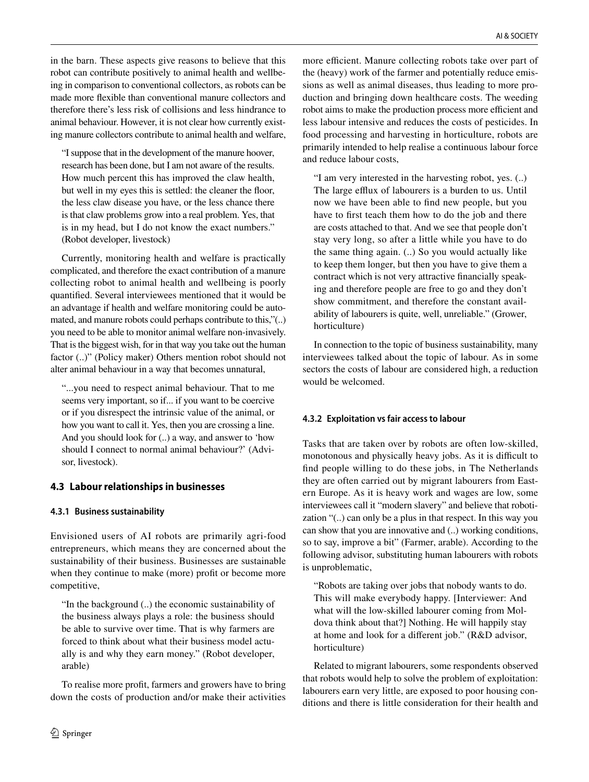in the barn. These aspects give reasons to believe that this robot can contribute positively to animal health and wellbeing in comparison to conventional collectors, as robots can be made more fexible than conventional manure collectors and therefore there's less risk of collisions and less hindrance to animal behaviour. However, it is not clear how currently existing manure collectors contribute to animal health and welfare,

"I suppose that in the development of the manure hoover, research has been done, but I am not aware of the results. How much percent this has improved the claw health, but well in my eyes this is settled: the cleaner the floor, the less claw disease you have, or the less chance there is that claw problems grow into a real problem. Yes, that is in my head, but I do not know the exact numbers." (Robot developer, livestock)

Currently, monitoring health and welfare is practically complicated, and therefore the exact contribution of a manure collecting robot to animal health and wellbeing is poorly quantifed. Several interviewees mentioned that it would be an advantage if health and welfare monitoring could be automated, and manure robots could perhaps contribute to this,"(..) you need to be able to monitor animal welfare non-invasively. That is the biggest wish, for in that way you take out the human factor (..)" (Policy maker) Others mention robot should not alter animal behaviour in a way that becomes unnatural,

"...you need to respect animal behaviour. That to me seems very important, so if... if you want to be coercive or if you disrespect the intrinsic value of the animal, or how you want to call it. Yes, then you are crossing a line. And you should look for (..) a way, and answer to 'how should I connect to normal animal behaviour?' (Advisor, livestock).

# **4.3 Labour relationships in businesses**

# **4.3.1 Business sustainability**

Envisioned users of AI robots are primarily agri-food entrepreneurs, which means they are concerned about the sustainability of their business. Businesses are sustainable when they continue to make (more) proft or become more competitive,

"In the background (..) the economic sustainability of the business always plays a role: the business should be able to survive over time. That is why farmers are forced to think about what their business model actually is and why they earn money." (Robot developer, arable)

To realise more proft, farmers and growers have to bring down the costs of production and/or make their activities

more efficient. Manure collecting robots take over part of the (heavy) work of the farmer and potentially reduce emissions as well as animal diseases, thus leading to more production and bringing down healthcare costs. The weeding robot aims to make the production process more efficient and less labour intensive and reduces the costs of pesticides. In food processing and harvesting in horticulture, robots are primarily intended to help realise a continuous labour force and reduce labour costs,

"I am very interested in the harvesting robot, yes. (..) The large efflux of labourers is a burden to us. Until now we have been able to fnd new people, but you have to frst teach them how to do the job and there are costs attached to that. And we see that people don't stay very long, so after a little while you have to do the same thing again. (..) So you would actually like to keep them longer, but then you have to give them a contract which is not very attractive fnancially speaking and therefore people are free to go and they don't show commitment, and therefore the constant availability of labourers is quite, well, unreliable." (Grower, horticulture)

In connection to the topic of business sustainability, many interviewees talked about the topic of labour. As in some sectors the costs of labour are considered high, a reduction would be welcomed.

# **4.3.2 Exploitation vs fair access to labour**

Tasks that are taken over by robots are often low-skilled, monotonous and physically heavy jobs. As it is difficult to fnd people willing to do these jobs, in The Netherlands they are often carried out by migrant labourers from Eastern Europe. As it is heavy work and wages are low, some interviewees call it "modern slavery" and believe that robotization "(..) can only be a plus in that respect. In this way you can show that you are innovative and (..) working conditions, so to say, improve a bit" (Farmer, arable). According to the following advisor, substituting human labourers with robots is unproblematic,

"Robots are taking over jobs that nobody wants to do. This will make everybody happy. [Interviewer: And what will the low-skilled labourer coming from Moldova think about that?] Nothing. He will happily stay at home and look for a diferent job." (R&D advisor, horticulture)

Related to migrant labourers, some respondents observed that robots would help to solve the problem of exploitation: labourers earn very little, are exposed to poor housing conditions and there is little consideration for their health and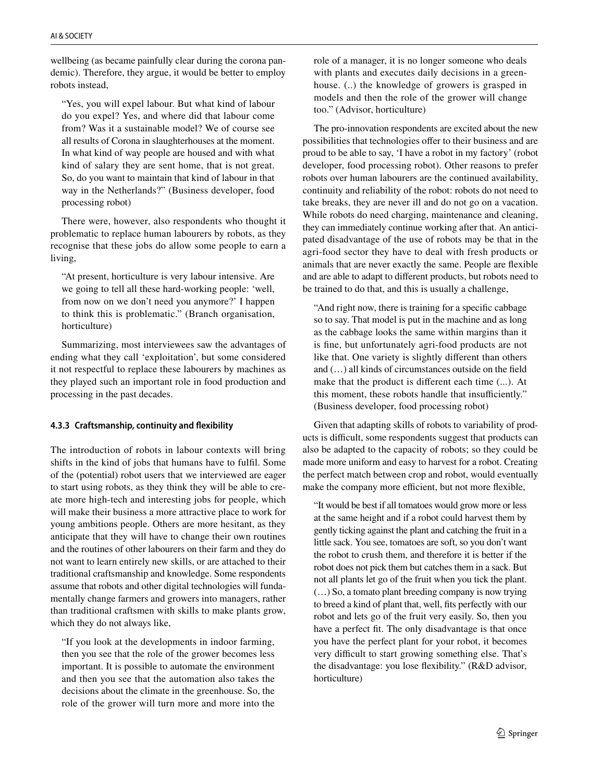wellbeing (as became painfully clear during the corona pandemic). Therefore, they argue, it would be better to employ robots instead,

"Yes, you will expel labour. But what kind of labour do you expel? Yes, and where did that labour come from? Was it a sustainable model? We of course see all results of Corona in slaughterhouses at the moment. In what kind of way people are housed and with what kind of salary they are sent home, that is not great. So, do you want to maintain that kind of labour in that way in the Netherlands?" (Business developer, food processing robot)

There were, however, also respondents who thought it problematic to replace human labourers by robots, as they recognise that these jobs do allow some people to earn a living,

"At present, horticulture is very labour intensive. Are we going to tell all these hard-working people: 'well, from now on we don't need you anymore?' I happen to think this is problematic." (Branch organisation, horticulture)

Summarizing, most interviewees saw the advantages of ending what they call 'exploitation', but some considered it not respectful to replace these labourers by machines as they played such an important role in food production and processing in the past decades.

### **4.3.3 Craftsmanship, continuity and fexibility**

The introduction of robots in labour contexts will bring shifts in the kind of jobs that humans have to fulfl. Some of the (potential) robot users that we interviewed are eager to start using robots, as they think they will be able to create more high-tech and interesting jobs for people, which will make their business a more attractive place to work for young ambitions people. Others are more hesitant, as they anticipate that they will have to change their own routines and the routines of other labourers on their farm and they do not want to learn entirely new skills, or are attached to their traditional craftsmanship and knowledge. Some respondents assume that robots and other digital technologies will fundamentally change farmers and growers into managers, rather than traditional craftsmen with skills to make plants grow, which they do not always like,

"If you look at the developments in indoor farming, then you see that the role of the grower becomes less important. It is possible to automate the environment and then you see that the automation also takes the decisions about the climate in the greenhouse. So, the role of the grower will turn more and more into the role of a manager, it is no longer someone who deals with plants and executes daily decisions in a greenhouse. (..) the knowledge of growers is grasped in models and then the role of the grower will change too." (Advisor, horticulture)

The pro-innovation respondents are excited about the new possibilities that technologies offer to their business and are proud to be able to say, 'I have a robot in my factory' (robot developer, food processing robot). Other reasons to prefer robots over human labourers are the continued availability, continuity and reliability of the robot: robots do not need to take breaks, they are never ill and do not go on a vacation. While robots do need charging, maintenance and cleaning, they can immediately continue working after that. An anticipated disadvantage of the use of robots may be that in the agri-food sector they have to deal with fresh products or animals that are never exactly the same. People are fexible and are able to adapt to diferent products, but robots need to be trained to do that, and this is usually a challenge,

"And right now, there is training for a specifc cabbage so to say. That model is put in the machine and as long as the cabbage looks the same within margins than it is fne, but unfortunately agri-food products are not like that. One variety is slightly diferent than others and (…) all kinds of circumstances outside on the feld make that the product is diferent each time (...). At this moment, these robots handle that insufficiently." (Business developer, food processing robot)

Given that adapting skills of robots to variability of products is difficult, some respondents suggest that products can also be adapted to the capacity of robots; so they could be made more uniform and easy to harvest for a robot. Creating the perfect match between crop and robot, would eventually make the company more efficient, but not more flexible,

"It would be best if all tomatoes would grow more or less at the same height and if a robot could harvest them by gently ticking against the plant and catching the fruit in a little sack. You see, tomatoes are soft, so you don't want the robot to crush them, and therefore it is better if the robot does not pick them but catches them in a sack. But not all plants let go of the fruit when you tick the plant. (…) So, a tomato plant breeding company is now trying to breed a kind of plant that, well, fts perfectly with our robot and lets go of the fruit very easily. So, then you have a perfect ft. The only disadvantage is that once you have the perfect plant for your robot, it becomes very difficult to start growing something else. That's the disadvantage: you lose fexibility." (R&D advisor, horticulture)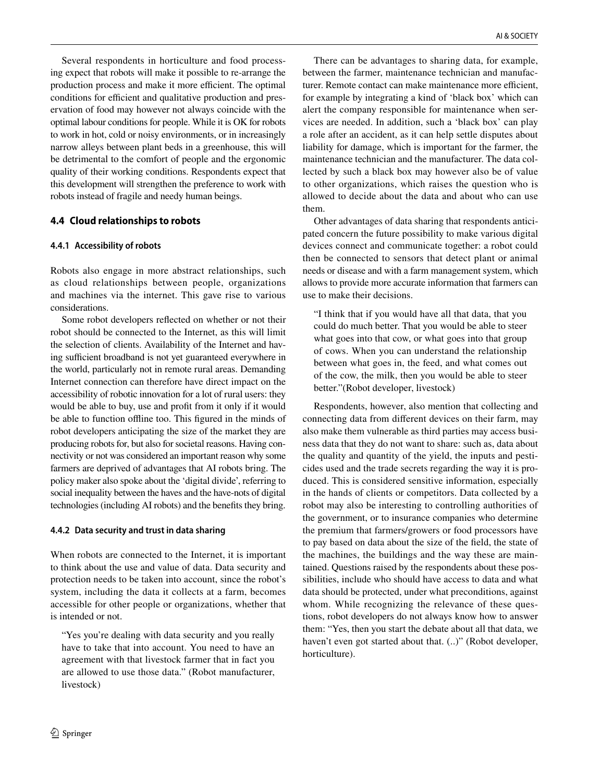Several respondents in horticulture and food processing expect that robots will make it possible to re-arrange the production process and make it more efficient. The optimal conditions for efficient and qualitative production and preservation of food may however not always coincide with the optimal labour conditions for people. While it is OK for robots to work in hot, cold or noisy environments, or in increasingly narrow alleys between plant beds in a greenhouse, this will be detrimental to the comfort of people and the ergonomic quality of their working conditions. Respondents expect that this development will strengthen the preference to work with robots instead of fragile and needy human beings.

# **4.4 Cloud relationships to robots**

### **4.4.1 Accessibility of robots**

Robots also engage in more abstract relationships, such as cloud relationships between people, organizations and machines via the internet. This gave rise to various considerations.

Some robot developers refected on whether or not their robot should be connected to the Internet, as this will limit the selection of clients. Availability of the Internet and having sufficient broadband is not yet guaranteed everywhere in the world, particularly not in remote rural areas. Demanding Internet connection can therefore have direct impact on the accessibility of robotic innovation for a lot of rural users: they would be able to buy, use and proft from it only if it would be able to function ofine too. This fgured in the minds of robot developers anticipating the size of the market they are producing robots for, but also for societal reasons. Having connectivity or not was considered an important reason why some farmers are deprived of advantages that AI robots bring. The policy maker also spoke about the 'digital divide', referring to social inequality between the haves and the have-nots of digital technologies (including AI robots) and the benefts they bring.

### **4.4.2 Data security and trust in data sharing**

When robots are connected to the Internet, it is important to think about the use and value of data. Data security and protection needs to be taken into account, since the robot's system, including the data it collects at a farm, becomes accessible for other people or organizations, whether that is intended or not.

"Yes you're dealing with data security and you really have to take that into account. You need to have an agreement with that livestock farmer that in fact you are allowed to use those data." (Robot manufacturer, livestock)

There can be advantages to sharing data, for example, between the farmer, maintenance technician and manufacturer. Remote contact can make maintenance more efficient, for example by integrating a kind of 'black box' which can alert the company responsible for maintenance when services are needed. In addition, such a 'black box' can play a role after an accident, as it can help settle disputes about liability for damage, which is important for the farmer, the maintenance technician and the manufacturer. The data collected by such a black box may however also be of value to other organizations, which raises the question who is allowed to decide about the data and about who can use them.

Other advantages of data sharing that respondents anticipated concern the future possibility to make various digital devices connect and communicate together: a robot could then be connected to sensors that detect plant or animal needs or disease and with a farm management system, which allows to provide more accurate information that farmers can use to make their decisions.

"I think that if you would have all that data, that you could do much better. That you would be able to steer what goes into that cow, or what goes into that group of cows. When you can understand the relationship between what goes in, the feed, and what comes out of the cow, the milk, then you would be able to steer better."(Robot developer, livestock)

Respondents, however, also mention that collecting and connecting data from diferent devices on their farm, may also make them vulnerable as third parties may access business data that they do not want to share: such as, data about the quality and quantity of the yield, the inputs and pesticides used and the trade secrets regarding the way it is produced. This is considered sensitive information, especially in the hands of clients or competitors. Data collected by a robot may also be interesting to controlling authorities of the government, or to insurance companies who determine the premium that farmers/growers or food processors have to pay based on data about the size of the feld, the state of the machines, the buildings and the way these are maintained. Questions raised by the respondents about these possibilities, include who should have access to data and what data should be protected, under what preconditions, against whom. While recognizing the relevance of these questions, robot developers do not always know how to answer them: "Yes, then you start the debate about all that data, we haven't even got started about that. (..)" (Robot developer, horticulture).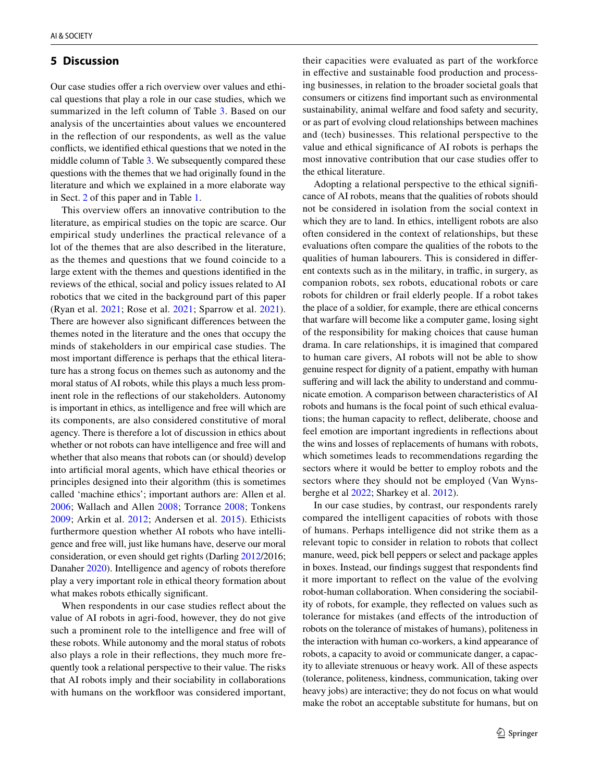### **5 Discussion**

Our case studies offer a rich overview over values and ethical questions that play a role in our case studies, which we summarized in the left column of Table [3.](#page-11-0) Based on our analysis of the uncertainties about values we encountered in the refection of our respondents, as well as the value conficts, we identifed ethical questions that we noted in the middle column of Table [3](#page-11-0). We subsequently compared these questions with the themes that we had originally found in the literature and which we explained in a more elaborate way in Sect. [2](#page-1-1) of this paper and in Table [1.](#page-2-0)

This overview offers an innovative contribution to the literature, as empirical studies on the topic are scarce. Our empirical study underlines the practical relevance of a lot of the themes that are also described in the literature, as the themes and questions that we found coincide to a large extent with the themes and questions identifed in the reviews of the ethical, social and policy issues related to AI robotics that we cited in the background part of this paper (Ryan et al. [2021;](#page-14-11) Rose et al. [2021;](#page-14-14) Sparrow et al. [2021](#page-14-13)). There are however also signifcant diferences between the themes noted in the literature and the ones that occupy the minds of stakeholders in our empirical case studies. The most important diference is perhaps that the ethical literature has a strong focus on themes such as autonomy and the moral status of AI robots, while this plays a much less prominent role in the refections of our stakeholders. Autonomy is important in ethics, as intelligence and free will which are its components, are also considered constitutive of moral agency. There is therefore a lot of discussion in ethics about whether or not robots can have intelligence and free will and whether that also means that robots can (or should) develop into artifcial moral agents, which have ethical theories or principles designed into their algorithm (this is sometimes called 'machine ethics'; important authors are: Allen et al. [2006;](#page-13-1) Wallach and Allen [2008](#page-14-21); Torrance [2008;](#page-14-22) Tonkens [2009;](#page-14-23) Arkin et al. [2012](#page-13-2); Andersen et al. [2015](#page-13-3)). Ethicists furthermore question whether AI robots who have intelligence and free will, just like humans have, deserve our moral consideration, or even should get rights (Darling [2012/](#page-14-24)2016; Danaher [2020\)](#page-13-4). Intelligence and agency of robots therefore play a very important role in ethical theory formation about what makes robots ethically signifcant.

When respondents in our case studies refect about the value of AI robots in agri-food, however, they do not give such a prominent role to the intelligence and free will of these robots. While autonomy and the moral status of robots also plays a role in their refections, they much more frequently took a relational perspective to their value. The risks that AI robots imply and their sociability in collaborations with humans on the workfloor was considered important,

their capacities were evaluated as part of the workforce in efective and sustainable food production and processing businesses, in relation to the broader societal goals that consumers or citizens fnd important such as environmental sustainability, animal welfare and food safety and security, or as part of evolving cloud relationships between machines and (tech) businesses. This relational perspective to the value and ethical signifcance of AI robots is perhaps the most innovative contribution that our case studies offer to the ethical literature.

Adopting a relational perspective to the ethical signifcance of AI robots, means that the qualities of robots should not be considered in isolation from the social context in which they are to land. In ethics, intelligent robots are also often considered in the context of relationships, but these evaluations often compare the qualities of the robots to the qualities of human labourers. This is considered in diferent contexts such as in the military, in traffic, in surgery, as companion robots, sex robots, educational robots or care robots for children or frail elderly people. If a robot takes the place of a soldier, for example, there are ethical concerns that warfare will become like a computer game, losing sight of the responsibility for making choices that cause human drama. In care relationships, it is imagined that compared to human care givers, AI robots will not be able to show genuine respect for dignity of a patient, empathy with human suffering and will lack the ability to understand and communicate emotion. A comparison between characteristics of AI robots and humans is the focal point of such ethical evaluations; the human capacity to refect, deliberate, choose and feel emotion are important ingredients in refections about the wins and losses of replacements of humans with robots, which sometimes leads to recommendations regarding the sectors where it would be better to employ robots and the sectors where they should not be employed (Van Wynsberghe et al [2022;](#page-14-25) Sharkey et al. [2012](#page-14-26)).

In our case studies, by contrast, our respondents rarely compared the intelligent capacities of robots with those of humans. Perhaps intelligence did not strike them as a relevant topic to consider in relation to robots that collect manure, weed, pick bell peppers or select and package apples in boxes. Instead, our fndings suggest that respondents fnd it more important to refect on the value of the evolving robot-human collaboration. When considering the sociability of robots, for example, they refected on values such as tolerance for mistakes (and efects of the introduction of robots on the tolerance of mistakes of humans), politeness in the interaction with human co-workers, a kind appearance of robots, a capacity to avoid or communicate danger, a capacity to alleviate strenuous or heavy work. All of these aspects (tolerance, politeness, kindness, communication, taking over heavy jobs) are interactive; they do not focus on what would make the robot an acceptable substitute for humans, but on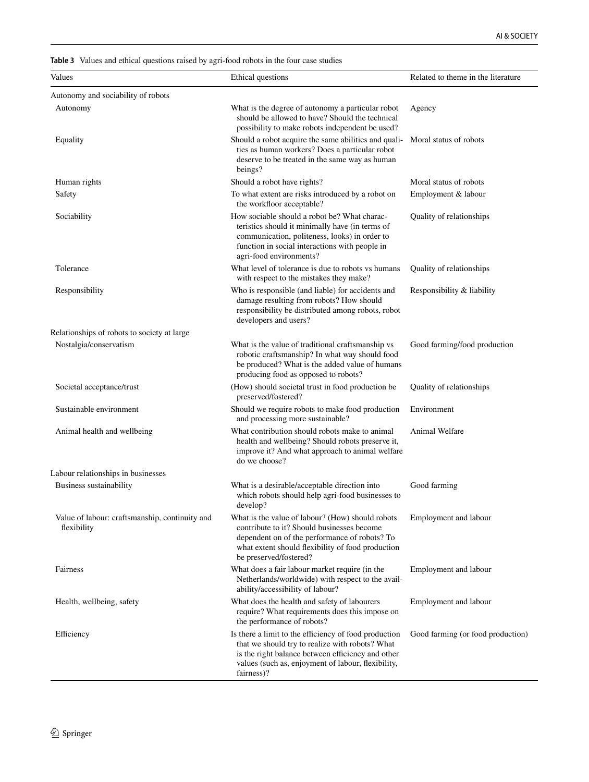<span id="page-11-0"></span>**Table 3** Values and ethical questions raised by agri-food robots in the four case studies

| Values                                                        | Ethical questions                                                                                                                                                                                                                 | Related to theme in the literature |
|---------------------------------------------------------------|-----------------------------------------------------------------------------------------------------------------------------------------------------------------------------------------------------------------------------------|------------------------------------|
| Autonomy and sociability of robots                            |                                                                                                                                                                                                                                   |                                    |
| Autonomy                                                      | What is the degree of autonomy a particular robot<br>Agency<br>should be allowed to have? Should the technical<br>possibility to make robots independent be used?                                                                 |                                    |
| Equality                                                      | Should a robot acquire the same abilities and quali-<br>ties as human workers? Does a particular robot<br>deserve to be treated in the same way as human<br>beings?                                                               | Moral status of robots             |
| Human rights                                                  | Should a robot have rights?                                                                                                                                                                                                       | Moral status of robots             |
| Safety                                                        | To what extent are risks introduced by a robot on<br>the workfloor acceptable?                                                                                                                                                    | Employment & labour                |
| Sociability                                                   | How sociable should a robot be? What charac-<br>teristics should it minimally have (in terms of<br>communication, politeness, looks) in order to<br>function in social interactions with people in<br>agri-food environments?     | Quality of relationships           |
| Tolerance                                                     | What level of tolerance is due to robots vs humans<br>with respect to the mistakes they make?                                                                                                                                     | Quality of relationships           |
| Responsibility                                                | Who is responsible (and liable) for accidents and<br>damage resulting from robots? How should<br>responsibility be distributed among robots, robot<br>developers and users?                                                       | Responsibility & liability         |
| Relationships of robots to society at large                   |                                                                                                                                                                                                                                   |                                    |
| Nostalgia/conservatism                                        | What is the value of traditional craftsmanship vs<br>robotic craftsmanship? In what way should food<br>be produced? What is the added value of humans<br>producing food as opposed to robots?                                     | Good farming/food production       |
| Societal acceptance/trust                                     | (How) should societal trust in food production be<br>preserved/fostered?                                                                                                                                                          | Quality of relationships           |
| Sustainable environment                                       | Should we require robots to make food production<br>and processing more sustainable?                                                                                                                                              | Environment                        |
| Animal health and wellbeing                                   | What contribution should robots make to animal<br>health and wellbeing? Should robots preserve it,<br>improve it? And what approach to animal welfare<br>do we choose?                                                            | Animal Welfare                     |
| Labour relationships in businesses                            |                                                                                                                                                                                                                                   |                                    |
| Business sustainability                                       | What is a desirable/acceptable direction into<br>which robots should help agri-food businesses to<br>develop?                                                                                                                     | Good farming                       |
| Value of labour: craftsmanship, continuity and<br>flexibility | What is the value of labour? (How) should robots<br>contribute to it? Should businesses become<br>dependent on of the performance of robots? To<br>what extent should flexibility of food production<br>be preserved/fostered?    | Employment and labour              |
| Fairness                                                      | What does a fair labour market require (in the<br>Netherlands/worldwide) with respect to the avail-<br>ability/accessibility of labour?                                                                                           | Employment and labour              |
| Health, wellbeing, safety                                     | What does the health and safety of labourers<br>require? What requirements does this impose on<br>the performance of robots?                                                                                                      | Employment and labour              |
| Efficiency                                                    | Is there a limit to the efficiency of food production<br>that we should try to realize with robots? What<br>is the right balance between efficiency and other<br>values (such as, enjoyment of labour, flexibility,<br>fairness)? | Good farming (or food production)  |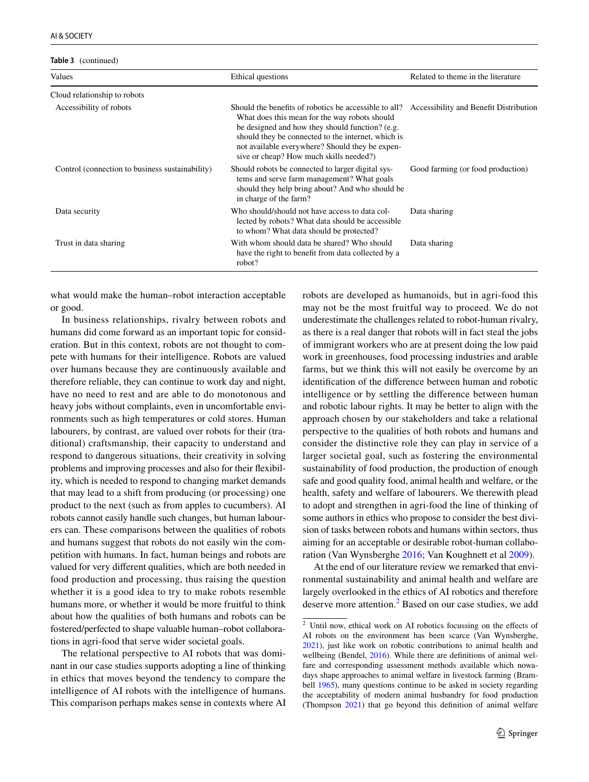**Table 3** (continued)

| Values                                          | Ethical questions                                                                                                                                                                                                                                                                                             | Related to theme in the literature     |
|-------------------------------------------------|---------------------------------------------------------------------------------------------------------------------------------------------------------------------------------------------------------------------------------------------------------------------------------------------------------------|----------------------------------------|
| Cloud relationship to robots                    |                                                                                                                                                                                                                                                                                                               |                                        |
| Accessibility of robots                         | Should the benefits of robotics be accessible to all?<br>What does this mean for the way robots should<br>be designed and how they should function? (e.g.<br>should they be connected to the internet, which is<br>not available everywhere? Should they be expen-<br>sive or cheap? How much skills needed?) | Accessibility and Benefit Distribution |
| Control (connection to business sustainability) | Should robots be connected to larger digital sys-<br>tems and serve farm management? What goals<br>should they help bring about? And who should be<br>in charge of the farm?                                                                                                                                  | Good farming (or food production)      |
| Data security                                   | Who should/should not have access to data col-<br>lected by robots? What data should be accessible<br>to whom? What data should be protected?                                                                                                                                                                 | Data sharing                           |
| Trust in data sharing                           | With whom should data be shared? Who should<br>have the right to benefit from data collected by a<br>robot?                                                                                                                                                                                                   | Data sharing                           |

what would make the human–robot interaction acceptable or good.

In business relationships, rivalry between robots and humans did come forward as an important topic for consideration. But in this context, robots are not thought to compete with humans for their intelligence. Robots are valued over humans because they are continuously available and therefore reliable, they can continue to work day and night, have no need to rest and are able to do monotonous and heavy jobs without complaints, even in uncomfortable environments such as high temperatures or cold stores. Human labourers, by contrast, are valued over robots for their (traditional) craftsmanship, their capacity to understand and respond to dangerous situations, their creativity in solving problems and improving processes and also for their fexibility, which is needed to respond to changing market demands that may lead to a shift from producing (or processing) one product to the next (such as from apples to cucumbers). AI robots cannot easily handle such changes, but human labourers can. These comparisons between the qualities of robots and humans suggest that robots do not easily win the competition with humans. In fact, human beings and robots are valued for very diferent qualities, which are both needed in food production and processing, thus raising the question whether it is a good idea to try to make robots resemble humans more, or whether it would be more fruitful to think about how the qualities of both humans and robots can be fostered/perfected to shape valuable human–robot collaborations in agri-food that serve wider societal goals.

The relational perspective to AI robots that was dominant in our case studies supports adopting a line of thinking in ethics that moves beyond the tendency to compare the intelligence of AI robots with the intelligence of humans. This comparison perhaps makes sense in contexts where AI robots are developed as humanoids, but in agri-food this may not be the most fruitful way to proceed. We do not underestimate the challenges related to robot-human rivalry, as there is a real danger that robots will in fact steal the jobs of immigrant workers who are at present doing the low paid work in greenhouses, food processing industries and arable farms, but we think this will not easily be overcome by an identifcation of the diference between human and robotic intelligence or by settling the diference between human and robotic labour rights. It may be better to align with the approach chosen by our stakeholders and take a relational perspective to the qualities of both robots and humans and consider the distinctive role they can play in service of a larger societal goal, such as fostering the environmental sustainability of food production, the production of enough safe and good quality food, animal health and welfare, or the health, safety and welfare of labourers. We therewith plead to adopt and strengthen in agri-food the line of thinking of some authors in ethics who propose to consider the best division of tasks between robots and humans within sectors, thus aiming for an acceptable or desirable robot-human collaboration (Van Wynsberghe [2016](#page-14-27); Van Koughnett et al [2009](#page-14-28)).

At the end of our literature review we remarked that environmental sustainability and animal health and welfare are largely overlooked in the ethics of AI robotics and therefore deserve more attention.<sup>[2](#page-12-0)</sup> Based on our case studies, we add

<span id="page-12-0"></span><sup>2</sup> Until now, ethical work on AI robotics focussing on the efects of AI robots on the environment has been scarce (Van Wynsberghe, [2021](#page-14-29)), just like work on robotic contributions to animal health and wellbeing (Bendel, [2016\)](#page-13-5). While there are definitions of animal welfare and corresponding assessment methods available which nowadays shape approaches to animal welfare in livestock farming (Brambell [1965\)](#page-13-6), many questions continue to be asked in society regarding the acceptability of modern animal husbandry for food production (Thompson [2021\)](#page-14-30) that go beyond this defnition of animal welfare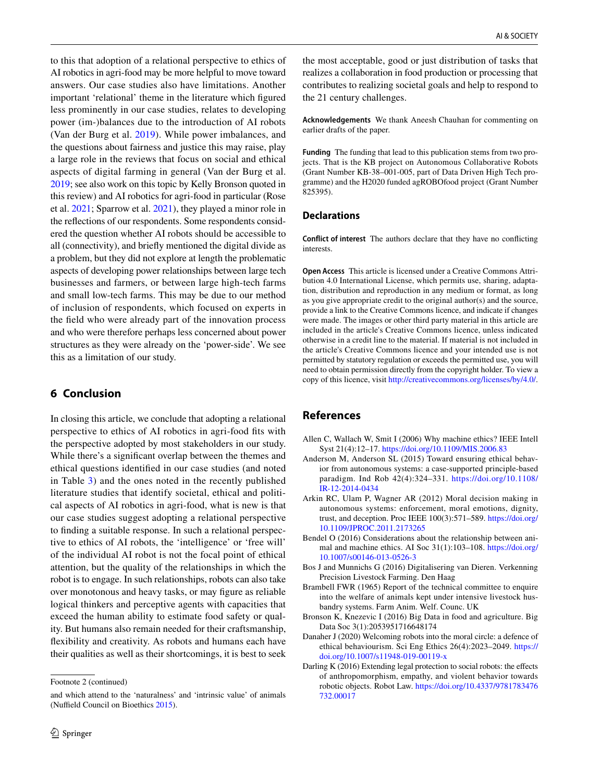to this that adoption of a relational perspective to ethics of AI robotics in agri-food may be more helpful to move toward answers. Our case studies also have limitations. Another important 'relational' theme in the literature which fgured less prominently in our case studies, relates to developing power (im-)balances due to the introduction of AI robots (Van der Burg et al. [2019](#page-14-12)). While power imbalances, and the questions about fairness and justice this may raise, play a large role in the reviews that focus on social and ethical aspects of digital farming in general (Van der Burg et al. [2019;](#page-14-12) see also work on this topic by Kelly Bronson quoted in this review) and AI robotics for agri-food in particular (Rose et al. [2021](#page-14-14); Sparrow et al. [2021\)](#page-14-13), they played a minor role in the refections of our respondents. Some respondents considered the question whether AI robots should be accessible to all (connectivity), and briefy mentioned the digital divide as a problem, but they did not explore at length the problematic aspects of developing power relationships between large tech businesses and farmers, or between large high-tech farms and small low-tech farms. This may be due to our method of inclusion of respondents, which focused on experts in the feld who were already part of the innovation process and who were therefore perhaps less concerned about power structures as they were already on the 'power-side'. We see this as a limitation of our study.

# **6 Conclusion**

In closing this article, we conclude that adopting a relational perspective to ethics of AI robotics in agri-food fts with the perspective adopted by most stakeholders in our study. While there's a signifcant overlap between the themes and ethical questions identifed in our case studies (and noted in Table [3](#page-11-0)) and the ones noted in the recently published literature studies that identify societal, ethical and political aspects of AI robotics in agri-food, what is new is that our case studies suggest adopting a relational perspective to fnding a suitable response. In such a relational perspective to ethics of AI robots, the 'intelligence' or 'free will' of the individual AI robot is not the focal point of ethical attention, but the quality of the relationships in which the robot is to engage. In such relationships, robots can also take over monotonous and heavy tasks, or may fgure as reliable logical thinkers and perceptive agents with capacities that exceed the human ability to estimate food safety or quality. But humans also remain needed for their craftsmanship, fexibility and creativity. As robots and humans each have their qualities as well as their shortcomings, it is best to seek

the most acceptable, good or just distribution of tasks that realizes a collaboration in food production or processing that contributes to realizing societal goals and help to respond to the 21 century challenges.

**Acknowledgements** We thank Aneesh Chauhan for commenting on earlier drafts of the paper.

**Funding** The funding that lead to this publication stems from two projects. That is the KB project on Autonomous Collaborative Robots (Grant Number KB-38–001-005, part of Data Driven High Tech programme) and the H2020 funded agROBOfood project (Grant Number 825395).

### **Declarations**

**Conflict of interest** The authors declare that they have no conficting interests.

**Open Access** This article is licensed under a Creative Commons Attribution 4.0 International License, which permits use, sharing, adaptation, distribution and reproduction in any medium or format, as long as you give appropriate credit to the original author(s) and the source, provide a link to the Creative Commons licence, and indicate if changes were made. The images or other third party material in this article are included in the article's Creative Commons licence, unless indicated otherwise in a credit line to the material. If material is not included in the article's Creative Commons licence and your intended use is not permitted by statutory regulation or exceeds the permitted use, you will need to obtain permission directly from the copyright holder. To view a copy of this licence, visit<http://creativecommons.org/licenses/by/4.0/>.

### **References**

- <span id="page-13-1"></span>Allen C, Wallach W, Smit I (2006) Why machine ethics? IEEE Intell Syst 21(4):12–17. <https://doi.org/10.1109/MIS.2006.83>
- <span id="page-13-3"></span>Anderson M, Anderson SL (2015) Toward ensuring ethical behavior from autonomous systems: a case-supported principle-based paradigm. Ind Rob 42(4):324–331. [https://doi.org/10.1108/](https://doi.org/10.1108/IR-12-2014-0434) [IR-12-2014-0434](https://doi.org/10.1108/IR-12-2014-0434)
- <span id="page-13-2"></span>Arkin RC, Ulam P, Wagner AR (2012) Moral decision making in autonomous systems: enforcement, moral emotions, dignity, trust, and deception. Proc IEEE 100(3):571–589. [https://doi.org/](https://doi.org/10.1109/JPROC.2011.2173265) [10.1109/JPROC.2011.2173265](https://doi.org/10.1109/JPROC.2011.2173265)
- <span id="page-13-5"></span>Bendel O (2016) Considerations about the relationship between animal and machine ethics. AI Soc 31(1):103–108. [https://doi.org/](https://doi.org/10.1007/s00146-013-0526-3) [10.1007/s00146-013-0526-3](https://doi.org/10.1007/s00146-013-0526-3)
- <span id="page-13-0"></span>Bos J and Munnichs G (2016) Digitalisering van Dieren. Verkenning Precision Livestock Farming. Den Haag
- <span id="page-13-6"></span>Brambell FWR (1965) Report of the technical committee to enquire into the welfare of animals kept under intensive livestock husbandry systems. Farm Anim. Welf. Counc. UK
- Bronson K, Knezevic I (2016) Big Data in food and agriculture. Big Data Soc 3(1):2053951716648174
- <span id="page-13-4"></span>Danaher J (2020) Welcoming robots into the moral circle: a defence of ethical behaviourism. Sci Eng Ethics 26(4):2023–2049. [https://](https://doi.org/10.1007/s11948-019-00119-x) [doi.org/10.1007/s11948-019-00119-x](https://doi.org/10.1007/s11948-019-00119-x)
- Darling K (2016) Extending legal protection to social robots: the effects of anthropomorphism, empathy, and violent behavior towards robotic objects. Robot Law. [https://doi.org/10.4337/9781783476](https://doi.org/10.4337/9781783476732.00017) [732.00017](https://doi.org/10.4337/9781783476732.00017)

Footnote 2 (continued)

and which attend to the 'naturalness' and 'intrinsic value' of animals (Nuffield Council on Bioethics [2015\)](#page-14-31).